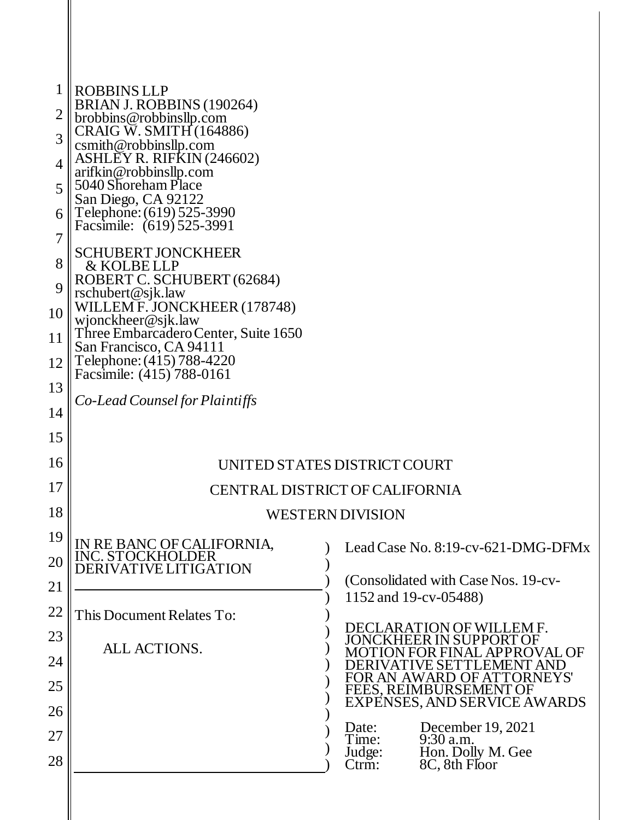| 2<br>3<br>$\overline{4}$<br>5<br>6<br>7<br>8<br>9<br>10<br>11<br>12<br>13<br>14 | <b>ROBBINS LLP</b><br>BRIAN J. ROBBINS (190264)<br>brobbins@robbinsllp.com<br>CRAIG W. SMITH (164886)<br>csmith@robbinsllp.com<br>ASHLEY R. RIFKIN (246602)<br>arifkin@robbinsllp.com<br>5040 Shoreham Place<br>San Diego, CA 92122<br>Telephone: (619) 525-3990<br>Facsimile: (619) 525-3991<br><b>SCHUBERT JONCKHEER</b><br>& KOLBE LLP<br>ROBERT C. SCHUBERT (62684)<br>rschubert@sjk.law<br>WILLEM F. JONCKHEER (178748)<br>wjonckheer@sjk.law<br>Three Embarcadero Center, Suite 1650<br>San Francisco, CA 94111<br>Telephone: (415) 788-4220<br>Facsimile: (415) 788-0161<br>Co-Lead Counsel for Plaintiffs |
|---------------------------------------------------------------------------------|-------------------------------------------------------------------------------------------------------------------------------------------------------------------------------------------------------------------------------------------------------------------------------------------------------------------------------------------------------------------------------------------------------------------------------------------------------------------------------------------------------------------------------------------------------------------------------------------------------------------|
| 15<br>16                                                                        | UNITED STATES DISTRICT COURT                                                                                                                                                                                                                                                                                                                                                                                                                                                                                                                                                                                      |
| 17                                                                              | CENTRAL DISTRICT OF CALIFORNIA                                                                                                                                                                                                                                                                                                                                                                                                                                                                                                                                                                                    |
| 18                                                                              | <b>WESTERN DIVISION</b>                                                                                                                                                                                                                                                                                                                                                                                                                                                                                                                                                                                           |
| 19                                                                              |                                                                                                                                                                                                                                                                                                                                                                                                                                                                                                                                                                                                                   |
| 20                                                                              | IN RE BANC OF CALIFORNIA, INC. STOCKHOLDER<br>Lead Case No. 8:19-cv-621-DMG-DFMx                                                                                                                                                                                                                                                                                                                                                                                                                                                                                                                                  |
| 21                                                                              | DERIVATIVE LITIGATION<br>(Consolidated with Case Nos. 19-cv-                                                                                                                                                                                                                                                                                                                                                                                                                                                                                                                                                      |
| 22                                                                              | 1152 and 19-cv-05488)<br>This Document Relates To:                                                                                                                                                                                                                                                                                                                                                                                                                                                                                                                                                                |
| 23                                                                              | DECLARATION OF WILLEM F.<br>JONCKHEER IN SUPPORT OF                                                                                                                                                                                                                                                                                                                                                                                                                                                                                                                                                               |
| 24                                                                              | ALL ACTIONS.<br>AL APPROVAL OF<br>'E SETTLEMENT AND                                                                                                                                                                                                                                                                                                                                                                                                                                                                                                                                                               |
| 25                                                                              | FOR AN AWARD OF ATTORNEYS'<br>FEES, REIMBURSEMENT OF                                                                                                                                                                                                                                                                                                                                                                                                                                                                                                                                                              |
| 26                                                                              | EXPENSES, AND SERVICE AWARDS                                                                                                                                                                                                                                                                                                                                                                                                                                                                                                                                                                                      |
| 27                                                                              | December 19, 2021<br>Date:<br>Time:<br>9:30 a.m.<br>Hon. Dolly M. Gee<br>Judge:                                                                                                                                                                                                                                                                                                                                                                                                                                                                                                                                   |
| 28                                                                              | 8C, 8th Floor<br>Ctrm:                                                                                                                                                                                                                                                                                                                                                                                                                                                                                                                                                                                            |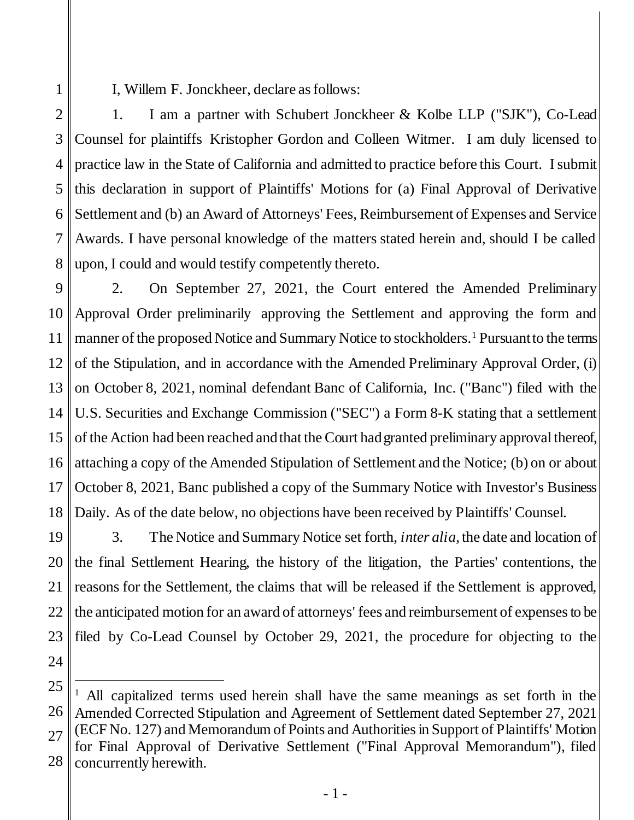I, Willem F. Jonckheer, declare as follows:

2 3 4 5 6 7 8 1. I am a partner with Schubert Jonckheer & Kolbe LLP ("SJK"), Co-Lead Counsel for plaintiffs Kristopher Gordon and Colleen Witmer. I am duly licensed to practice law in the State of California and admitted to practice before this Court. I submit this declaration in support of Plaintiffs' Motions for (a) Final Approval of Derivative Settlement and (b) an Award of Attorneys' Fees, Reimbursement of Expenses and Service Awards. I have personal knowledge of the matters stated herein and, should I be called upon, I could and would testify competently thereto.

9 10 11 12 13 14 15 16 17 18 2. On September 27, 2021, the Court entered the Amended Preliminary Approval Order preliminarily approving the Settlement and approving the form and manner of the proposed Notice and Summary Notice to stockholders. <sup>1</sup> Pursuant to the terms of the Stipulation, and in accordance with the Amended Preliminary Approval Order, (i) on October 8, 2021, nominal defendant Banc of California, Inc. ("Banc") filed with the U.S. Securities and Exchange Commission ("SEC") a Form 8-K stating that a settlement of the Action had been reached and that the Court had granted preliminary approval thereof, attaching a copy of the Amended Stipulation of Settlement and the Notice; (b) on or about October 8, 2021, Banc published a copy of the Summary Notice with Investor's Business Daily. As of the date below, no objections have been received by Plaintiffs' Counsel.

19 20 21 22 23 3. The Notice and Summary Notice set forth, *inter alia*, the date and location of the final Settlement Hearing, the history of the litigation, the Parties' contentions, the reasons for the Settlement, the claims that will be released if the Settlement is approved, the anticipated motion for an award of attorneys' fees and reimbursement of expenses to be filed by Co-Lead Counsel by October 29, 2021, the procedure for objecting to the

24 25

 $\overline{a}$ 

<sup>26</sup> 27 28 <sup>1</sup> All capitalized terms used herein shall have the same meanings as set forth in the Amended Corrected Stipulation and Agreement of Settlement dated September 27, 2021 (ECF No. 127) and Memorandum of Points and Authorities in Support of Plaintiffs' Motion for Final Approval of Derivative Settlement ("Final Approval Memorandum"), filed concurrently herewith.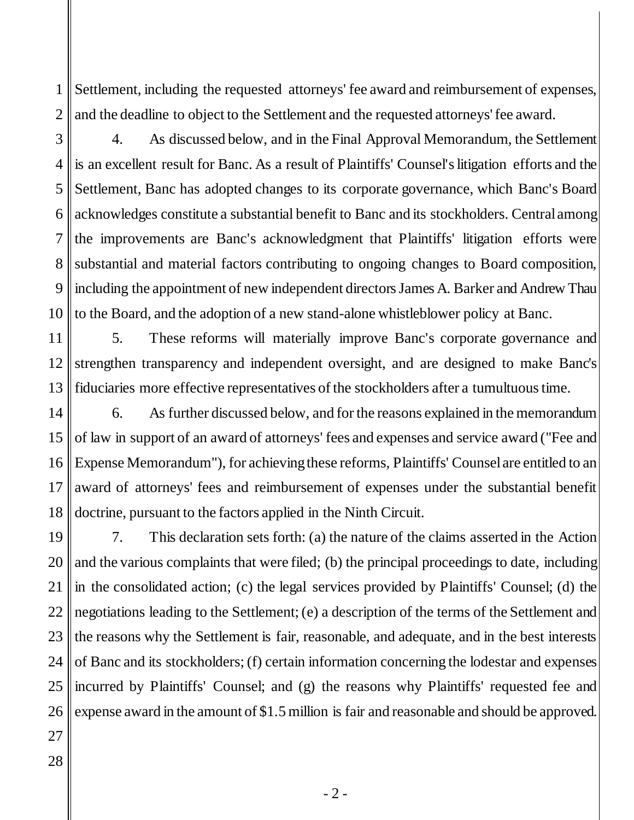1 2 Settlement, including the requested attorneys' fee award and reimbursement of expenses, and the deadline to object to the Settlement and the requested attorneys'fee award.

3 4 5 6 7 8 9 10 4. As discussed below, and in the Final Approval Memorandum, the Settlement is an excellent result for Banc. As a result of Plaintiffs' Counsel's litigation efforts and the Settlement, Banc has adopted changes to its corporate governance, which Banc's Board acknowledges constitute a substantial benefit to Banc and its stockholders. Central among the improvements are Banc's acknowledgment that Plaintiffs' litigation efforts were substantial and material factors contributing to ongoing changes to Board composition, including the appointment of new independent directors James A. Barker and Andrew Thau to the Board, and the adoption of a new stand-alone whistleblower policy at Banc.

11 12 13 5. These reforms will materially improve Banc's corporate governance and strengthen transparency and independent oversight, and are designed to make Banc's fiduciaries more effective representatives of the stockholders after a tumultuoustime.

14 15 16 17 18 6. As further discussed below, and for the reasons explained in the memorandum of law in support of an award of attorneys' fees and expenses and service award ("Fee and Expense Memorandum"), for achieving these reforms, Plaintiffs' Counsel are entitled to an award of attorneys' fees and reimbursement of expenses under the substantial benefit doctrine, pursuant to the factors applied in the Ninth Circuit.

19 20 21 22 23 24 25 26 7. This declaration sets forth: (a) the nature of the claims asserted in the Action and the various complaints that were filed; (b) the principal proceedings to date, including in the consolidated action; (c) the legal services provided by Plaintiffs' Counsel; (d) the negotiations leading to the Settlement; (e) a description of the terms of the Settlement and the reasons why the Settlement is fair, reasonable, and adequate, and in the best interests of Banc and its stockholders; (f) certain information concerning the lodestar and expenses incurred by Plaintiffs' Counsel; and (g) the reasons why Plaintiffs' requested fee and expense award in the amount of \$1.5 million is fair and reasonable and should be approved.

28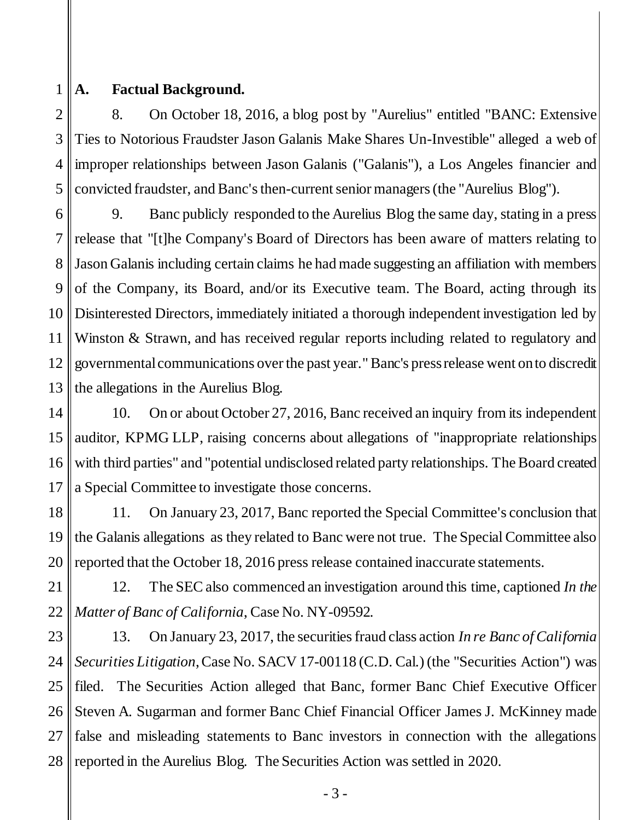#### 1 **A. Factual Background.**

2 3 4 5 8. On October 18, 2016, a blog post by "Aurelius" entitled "BANC: Extensive Ties to Notorious Fraudster Jason Galanis Make Shares Un-Investible" alleged a web of improper relationships between Jason Galanis ("Galanis"), a Los Angeles financier and convicted fraudster, and Banc's then-current senior managers (the "Aurelius Blog").

6 7 8 9 10 11 12 13 9. Banc publicly responded to the Aurelius Blog the same day, stating in a press release that "[t]he Company's Board of Directors has been aware of matters relating to Jason Galanis including certain claims he had made suggesting an affiliation with members of the Company, its Board, and/or its Executive team. The Board, acting through its Disinterested Directors, immediately initiated a thorough independent investigation led by Winston & Strawn, and has received regular reports including related to regulatory and governmental communications over the past year."Banc's press release went on to discredit the allegations in the Aurelius Blog.

14 15 16 17 10. On or about October 27, 2016, Banc received an inquiry from its independent auditor, KPMG LLP, raising concerns about allegations of "inappropriate relationships with third parties" and "potential undisclosed related party relationships. The Board created a Special Committee to investigate those concerns.

18 19 20 11. On January 23, 2017, Banc reported the Special Committee's conclusion that the Galanis allegations as they related to Banc were not true. The Special Committee also reported that the October 18, 2016 press release contained inaccurate statements.

21 22 12. The SEC also commenced an investigation around this time, captioned *In the Matter of Banc of California*, Case No. NY-09592.

23 24 25 26 27 28 13. On January 23, 2017, the securities fraud class action *In re Banc of California Securities Litigation*, Case No. SACV 17-00118 (C.D. Cal.) (the "Securities Action") was filed. The Securities Action alleged that Banc, former Banc Chief Executive Officer Steven A. Sugarman and former Banc Chief Financial Officer James J. McKinney made false and misleading statements to Banc investors in connection with the allegations reported in the Aurelius Blog. The Securities Action was settled in 2020.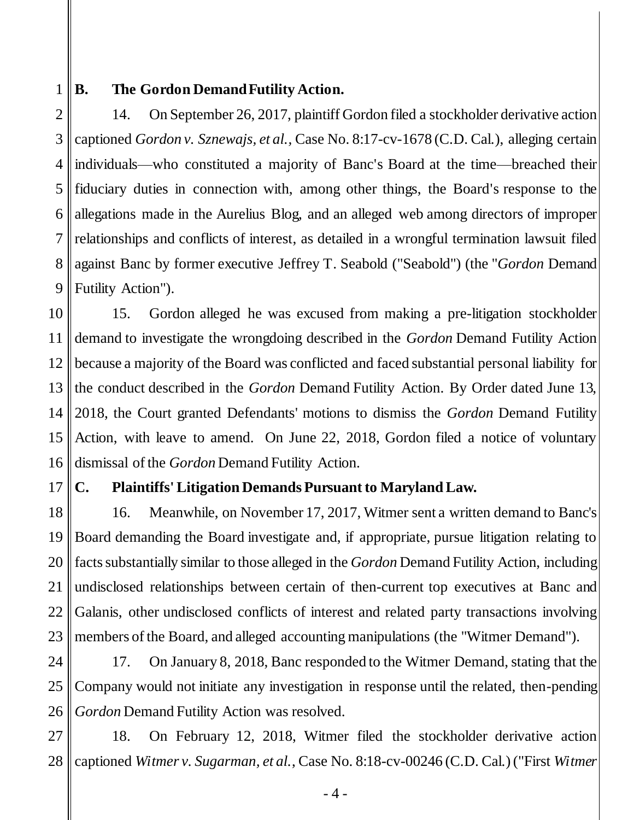# 1

### **B. The Gordon Demand Futility Action.**

2 3 4 5 6 7 8 9 14. On September 26, 2017, plaintiff Gordon filed a stockholder derivative action captioned *Gordon v. Sznewajs, et al.,* Case No. 8:17-cv-1678 (C.D. Cal.), alleging certain individuals—who constituted a majority of Banc's Board at the time—breached their fiduciary duties in connection with, among other things, the Board's response to the allegations made in the Aurelius Blog, and an alleged web among directors of improper relationships and conflicts of interest, as detailed in a wrongful termination lawsuit filed against Banc by former executive Jeffrey T. Seabold ("Seabold") (the "*Gordon* Demand Futility Action").

10 11 12 13 14 15 16 15. Gordon alleged he was excused from making a pre-litigation stockholder demand to investigate the wrongdoing described in the *Gordon* Demand Futility Action because a majority of the Board was conflicted and faced substantial personal liability for the conduct described in the *Gordon* Demand Futility Action. By Order dated June 13, 2018, the Court granted Defendants' motions to dismiss the *Gordon* Demand Futility Action, with leave to amend. On June 22, 2018, Gordon filed a notice of voluntary dismissal of the *Gordon* Demand Futility Action.

17

# **C. Plaintiffs'Litigation Demands Pursuant to Maryland Law.**

18 19 20 21 22 23 16. Meanwhile, on November 17, 2017, Witmer sent a written demand to Banc's Board demanding the Board investigate and, if appropriate, pursue litigation relating to facts substantially similar to those alleged in the *Gordon* Demand Futility Action, including undisclosed relationships between certain of then-current top executives at Banc and Galanis, other undisclosed conflicts of interest and related party transactions involving members of the Board, and alleged accounting manipulations (the "Witmer Demand").

24 25 26 17. On January 8, 2018, Banc responded to the Witmer Demand, stating that the Company would not initiate any investigation in response until the related, then-pending *Gordon* Demand Futility Action was resolved.

27 28 18. On February 12, 2018, Witmer filed the stockholder derivative action captioned *Witmer v. Sugarman, et al.*, Case No. 8:18-cv-00246 (C.D. Cal.) ("First *Witmer*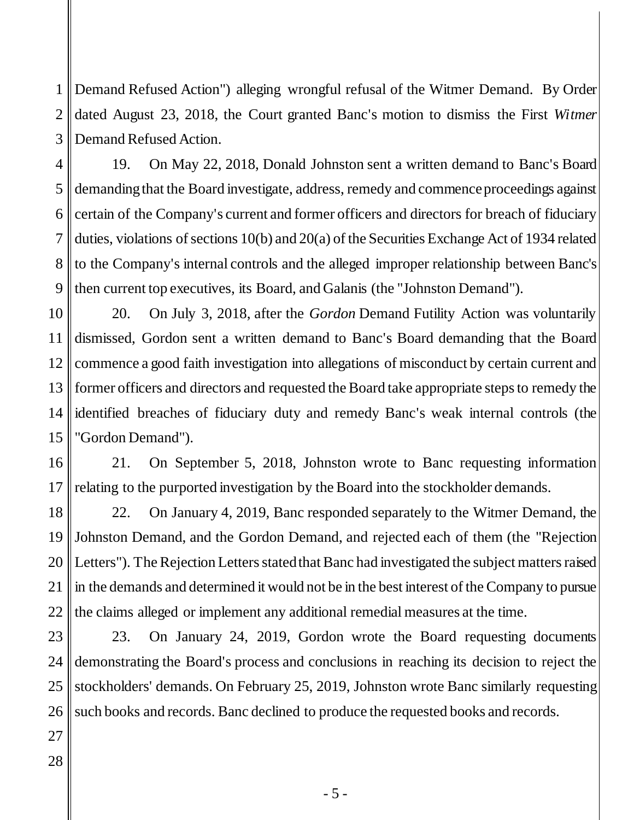1 2 3 Demand Refused Action") alleging wrongful refusal of the Witmer Demand. By Order dated August 23, 2018, the Court granted Banc's motion to dismiss the First *Witmer* Demand Refused Action.

4 5 6 7 8 9 19. On May 22, 2018, Donald Johnston sent a written demand to Banc's Board demanding that the Board investigate, address, remedy and commence proceedings against certain of the Company's current and former officers and directors for breach of fiduciary duties, violations of sections 10(b) and 20(a) of the Securities Exchange Act of 1934 related to the Company's internal controls and the alleged improper relationship between Banc's then current top executives, its Board, and Galanis (the "Johnston Demand").

10 11 12 13 14 15 20. On July 3, 2018, after the *Gordon* Demand Futility Action was voluntarily dismissed, Gordon sent a written demand to Banc's Board demanding that the Board commence a good faith investigation into allegations of misconduct by certain current and former officers and directors and requested the Board take appropriate steps to remedy the identified breaches of fiduciary duty and remedy Banc's weak internal controls (the "Gordon Demand").

16 17 21. On September 5, 2018, Johnston wrote to Banc requesting information relating to the purported investigation by the Board into the stockholder demands.

18 19 20 21 22 22. On January 4, 2019, Banc responded separately to the Witmer Demand, the Johnston Demand, and the Gordon Demand, and rejected each of them (the "Rejection Letters"). The Rejection Letters stated that Banc had investigated the subject matters raised in the demands and determined it would not be in the best interest of the Company to pursue the claims alleged or implement any additional remedial measures at the time.

23 24 25 26 23. On January 24, 2019, Gordon wrote the Board requesting documents demonstrating the Board's process and conclusions in reaching its decision to reject the stockholders' demands. On February 25, 2019, Johnston wrote Banc similarly requesting such books and records. Banc declined to produce the requested books and records.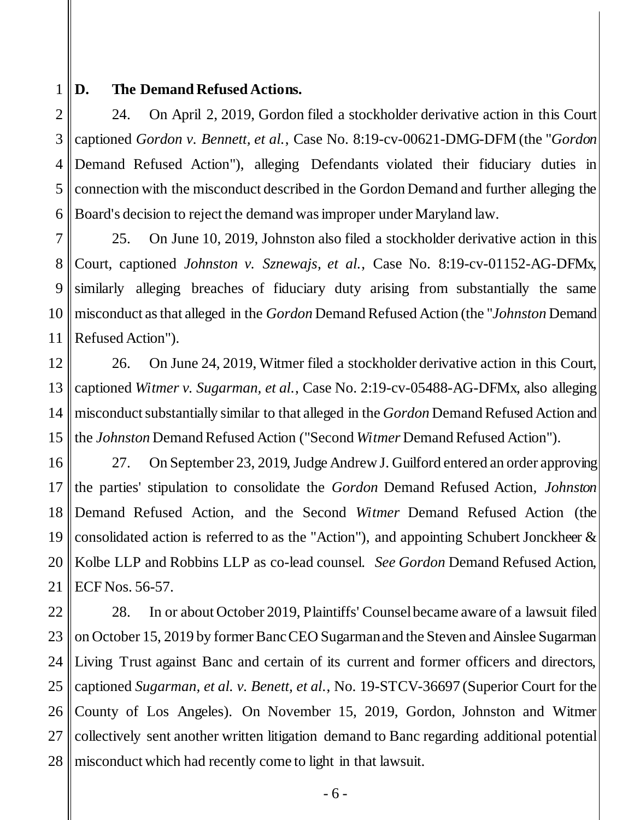#### 1 **D. The Demand Refused Actions.**

2 3 4 5 6 24. On April 2, 2019, Gordon filed a stockholder derivative action in this Court captioned *Gordon v. Bennett, et al.*, Case No. 8:19-cv-00621-DMG-DFM (the "*Gordon*  Demand Refused Action"), alleging Defendants violated their fiduciary duties in connection with the misconduct described in the Gordon Demand and further alleging the Board's decision to reject the demand was improper under Maryland law.

7 8 9 10 11 25. On June 10, 2019, Johnston also filed a stockholder derivative action in this Court, captioned *Johnston v. Sznewajs, et al.*, Case No. 8:19-cv-01152-AG-DFMx, similarly alleging breaches of fiduciary duty arising from substantially the same misconduct as that alleged in the *Gordon* Demand Refused Action (the "*Johnston* Demand Refused Action").

12 13 14 15 26. On June 24, 2019, Witmer filed a stockholder derivative action in this Court, captioned *Witmer v. Sugarman, et al.*, Case No. 2:19-cv-05488-AG-DFMx, also alleging misconduct substantially similar to that alleged in the *Gordon* Demand Refused Action and the *Johnston* Demand Refused Action ("Second *Witmer* Demand Refused Action").

16 17 18 19 20 21 27. On September 23, 2019, Judge Andrew J. Guilford entered an order approving the parties' stipulation to consolidate the *Gordon* Demand Refused Action*, Johnston*  Demand Refused Action, and the Second *Witmer* Demand Refused Action (the consolidated action is referred to as the "Action"), and appointing Schubert Jonckheer & Kolbe LLP and Robbins LLP as co-lead counsel. *See Gordon* Demand Refused Action, ECF Nos. 56-57.

22 23 24 25 26 27 28 28. In or about October 2019, Plaintiffs' Counsel became aware of a lawsuit filed on October 15, 2019 by former Banc CEO Sugarman and the Steven and Ainslee Sugarman Living Trust against Banc and certain of its current and former officers and directors, captioned *Sugarman, et al. v. Benett, et al.*, No. 19-STCV-36697 (Superior Court for the County of Los Angeles). On November 15, 2019, Gordon, Johnston and Witmer collectively sent another written litigation demand to Banc regarding additional potential misconduct which had recently come to light in that lawsuit.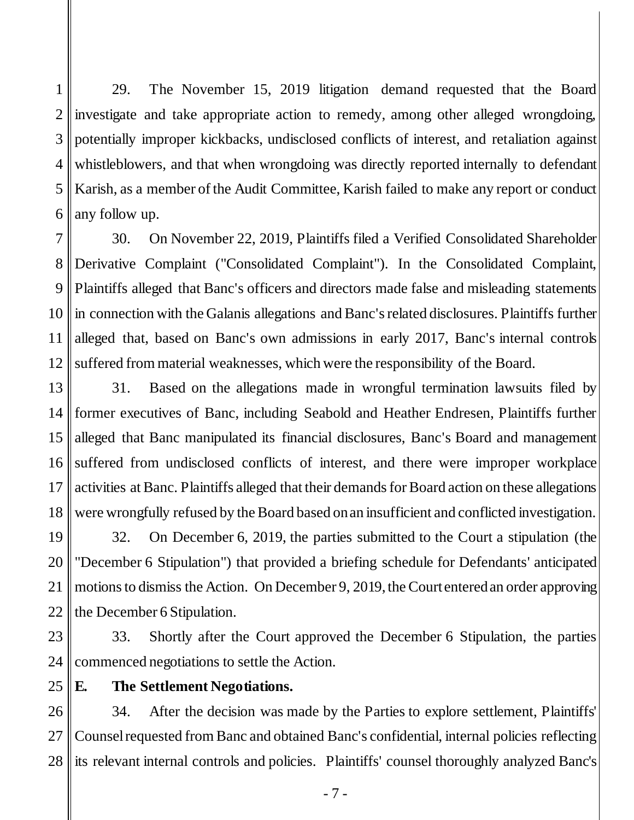1 2 3 4 5 6 29. The November 15, 2019 litigation demand requested that the Board investigate and take appropriate action to remedy, among other alleged wrongdoing, potentially improper kickbacks, undisclosed conflicts of interest, and retaliation against whistleblowers, and that when wrongdoing was directly reported internally to defendant Karish, as a member of the Audit Committee, Karish failed to make any report or conduct any follow up.

7 8 9 10 11 12 30. On November 22, 2019, Plaintiffs filed a Verified Consolidated Shareholder Derivative Complaint ("Consolidated Complaint"). In the Consolidated Complaint, Plaintiffs alleged that Banc's officers and directors made false and misleading statements in connection with the Galanis allegations and Banc's related disclosures. Plaintiffs further alleged that, based on Banc's own admissions in early 2017, Banc's internal controls suffered from material weaknesses, which were the responsibility of the Board.

13 14 15 16 17 18 31. Based on the allegations made in wrongful termination lawsuits filed by former executives of Banc, including Seabold and Heather Endresen, Plaintiffs further alleged that Banc manipulated its financial disclosures, Banc's Board and management suffered from undisclosed conflicts of interest, and there were improper workplace activities at Banc. Plaintiffs alleged that their demands for Board action on these allegations were wrongfully refused by the Board based on an insufficient and conflicted investigation.

19 20 21 22 32. On December 6, 2019, the parties submitted to the Court a stipulation (the "December 6 Stipulation") that provided a briefing schedule for Defendants' anticipated motions to dismiss the Action. On December 9, 2019, the Court entered an order approving the December 6 Stipulation.

23 24 33. Shortly after the Court approved the December 6 Stipulation, the parties commenced negotiations to settle the Action.

25

### **E. The Settlement Negotiations.**

26 27 28 34. After the decision was made by the Parties to explore settlement, Plaintiffs' Counsel requested from Banc and obtained Banc's confidential, internal policies reflecting its relevant internal controls and policies. Plaintiffs' counsel thoroughly analyzed Banc's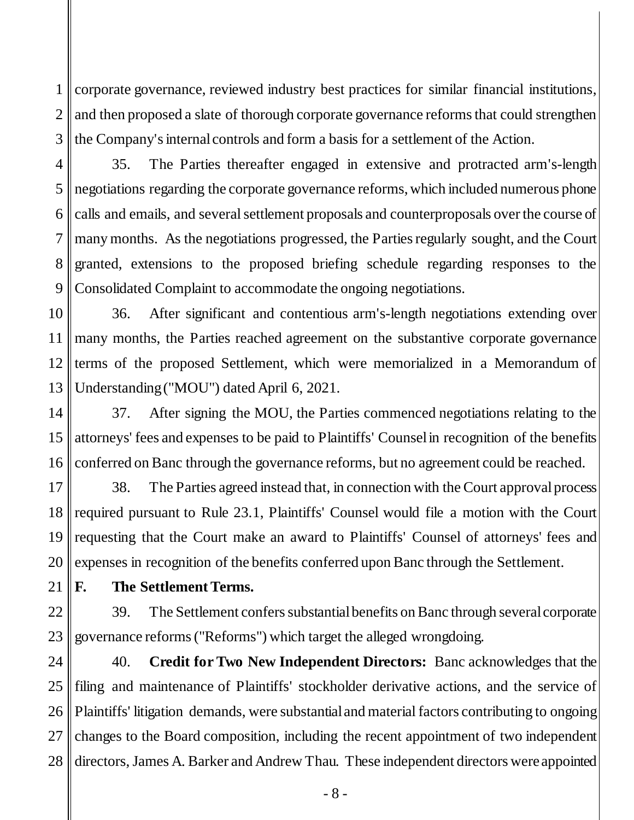1 2 3 corporate governance, reviewed industry best practices for similar financial institutions, and then proposed a slate of thorough corporate governance reforms that could strengthen the Company's internal controls and form a basis for a settlement of the Action.

4 5 6 7 8 9 35. The Parties thereafter engaged in extensive and protracted arm's-length negotiations regarding the corporate governance reforms, which included numerous phone calls and emails, and several settlement proposals and counterproposals over the course of many months. As the negotiations progressed, the Parties regularly sought, and the Court granted, extensions to the proposed briefing schedule regarding responses to the Consolidated Complaint to accommodate the ongoing negotiations.

10 11 12 13 36. After significant and contentious arm's-length negotiations extending over many months, the Parties reached agreement on the substantive corporate governance terms of the proposed Settlement, which were memorialized in a Memorandum of Understanding ("MOU") dated April 6, 2021.

14 15 16 37. After signing the MOU, the Parties commenced negotiations relating to the attorneys' fees and expenses to be paid to Plaintiffs' Counsel in recognition of the benefits conferred on Banc through the governance reforms, but no agreement could be reached.

17 18 19 20 38. The Parties agreed instead that, in connection with the Court approval process required pursuant to Rule 23.1, Plaintiffs' Counsel would file a motion with the Court requesting that the Court make an award to Plaintiffs' Counsel of attorneys' fees and expenses in recognition of the benefits conferred upon Banc through the Settlement.

21

# **F. The Settlement Terms.**

22 23 39. The Settlement confers substantial benefits on Banc through several corporate governance reforms ("Reforms") which target the alleged wrongdoing.

24 25 26 27 28 40. **Credit for Two New Independent Directors:** Banc acknowledges that the filing and maintenance of Plaintiffs' stockholder derivative actions, and the service of Plaintiffs' litigation demands, were substantial and material factors contributing to ongoing changes to the Board composition, including the recent appointment of two independent directors, James A. Barker and Andrew Thau. These independent directors were appointed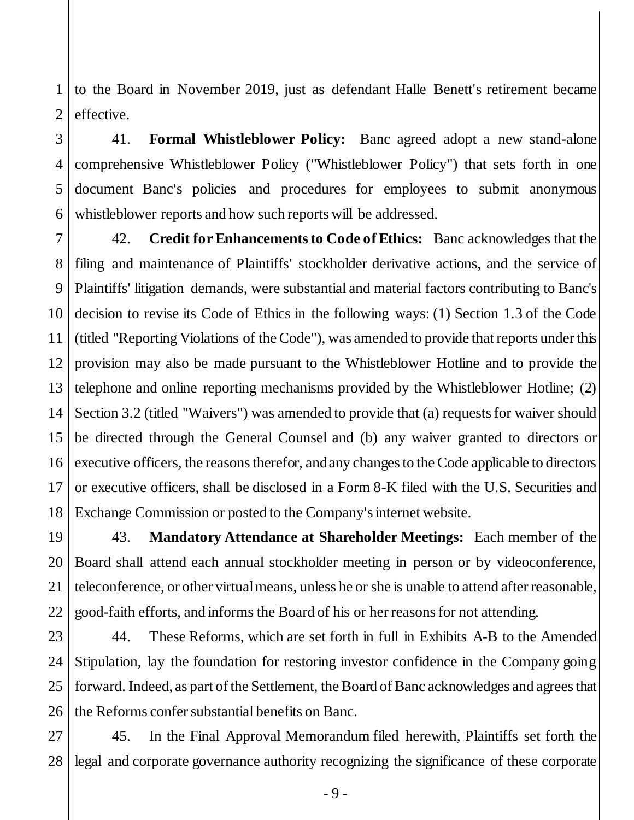1 2 to the Board in November 2019, just as defendant Halle Benett's retirement became effective.

3 4 5 6 41. **Formal Whistleblower Policy:** Banc agreed adopt a new stand-alone comprehensive Whistleblower Policy ("Whistleblower Policy") that sets forth in one document Banc's policies and procedures for employees to submit anonymous whistleblower reports and how such reports will be addressed.

7 8 9 10 11 12 13 14 15 16 17 18 42. **Credit for Enhancements to Code of Ethics:** Banc acknowledges that the filing and maintenance of Plaintiffs' stockholder derivative actions, and the service of Plaintiffs' litigation demands, were substantial and material factors contributing to Banc's decision to revise its Code of Ethics in the following ways: (1) Section 1.3 of the Code (titled "Reporting Violations of the Code"), was amended to provide that reports under this provision may also be made pursuant to the Whistleblower Hotline and to provide the telephone and online reporting mechanisms provided by the Whistleblower Hotline; (2) Section 3.2 (titled "Waivers") was amended to provide that (a) requests for waiver should be directed through the General Counsel and (b) any waiver granted to directors or executive officers, the reasons therefor, and any changes to the Code applicable to directors or executive officers, shall be disclosed in a Form 8-K filed with the U.S. Securities and Exchange Commission or posted to the Company's internet website.

19 20 21 22 43. **Mandatory Attendance at Shareholder Meetings:** Each member of the Board shall attend each annual stockholder meeting in person or by videoconference, teleconference, or other virtual means, unless he or she is unable to attend after reasonable, good-faith efforts, and informs the Board of his or her reasons for not attending.

23 24 25 26 44. These Reforms, which are set forth in full in Exhibits A-B to the Amended Stipulation, lay the foundation for restoring investor confidence in the Company going forward. Indeed, as part of the Settlement, the Board of Banc acknowledges and agrees that the Reforms confer substantial benefits on Banc.

27 28 45. In the Final Approval Memorandum filed herewith, Plaintiffs set forth the legal and corporate governance authority recognizing the significance of these corporate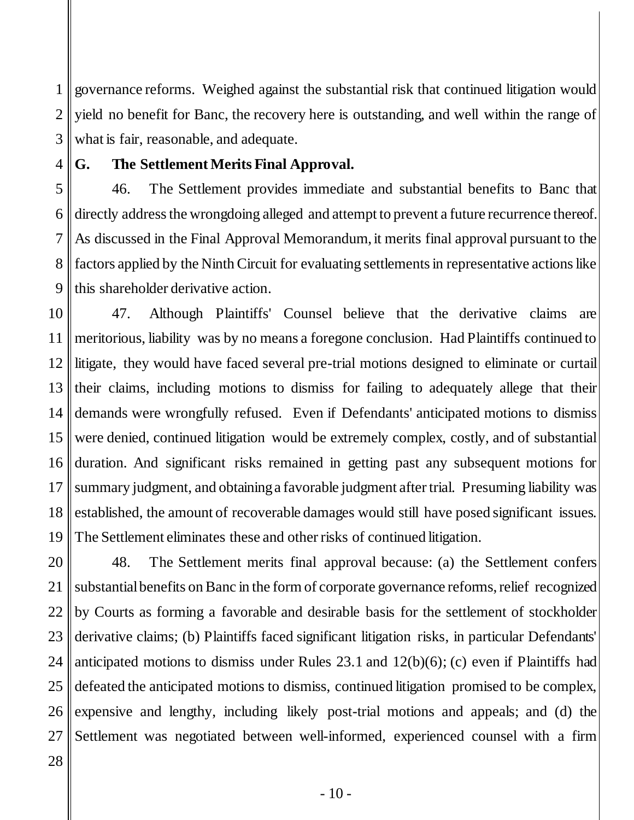1 2 3 governance reforms. Weighed against the substantial risk that continued litigation would yield no benefit for Banc, the recovery here is outstanding, and well within the range of what is fair, reasonable, and adequate.

4

# **G. The Settlement Merits Final Approval.**

5 6 7 8 9 46. The Settlement provides immediate and substantial benefits to Banc that directly address the wrongdoing alleged and attempt to prevent a future recurrence thereof. As discussed in the Final Approval Memorandum, it merits final approval pursuant to the factors applied by the Ninth Circuit for evaluating settlements in representative actions like this shareholder derivative action.

10 11 12 13 14 15 16 17 18 19 47. Although Plaintiffs' Counsel believe that the derivative claims are meritorious, liability was by no means a foregone conclusion. Had Plaintiffs continued to litigate, they would have faced several pre-trial motions designed to eliminate or curtail their claims, including motions to dismiss for failing to adequately allege that their demands were wrongfully refused. Even if Defendants' anticipated motions to dismiss were denied, continued litigation would be extremely complex, costly, and of substantial duration. And significant risks remained in getting past any subsequent motions for summary judgment, and obtaining a favorable judgment after trial. Presuming liability was established, the amount of recoverable damages would still have posed significant issues. The Settlement eliminates these and other risks of continued litigation.

20 21 22 23 24 25 26 27 48. The Settlement merits final approval because: (a) the Settlement confers substantial benefits on Banc in the form of corporate governance reforms, relief recognized by Courts as forming a favorable and desirable basis for the settlement of stockholder derivative claims; (b) Plaintiffs faced significant litigation risks, in particular Defendants' anticipated motions to dismiss under Rules 23.1 and 12(b)(6); (c) even if Plaintiffs had defeated the anticipated motions to dismiss, continued litigation promised to be complex, expensive and lengthy, including likely post-trial motions and appeals; and (d) the Settlement was negotiated between well-informed, experienced counsel with a firm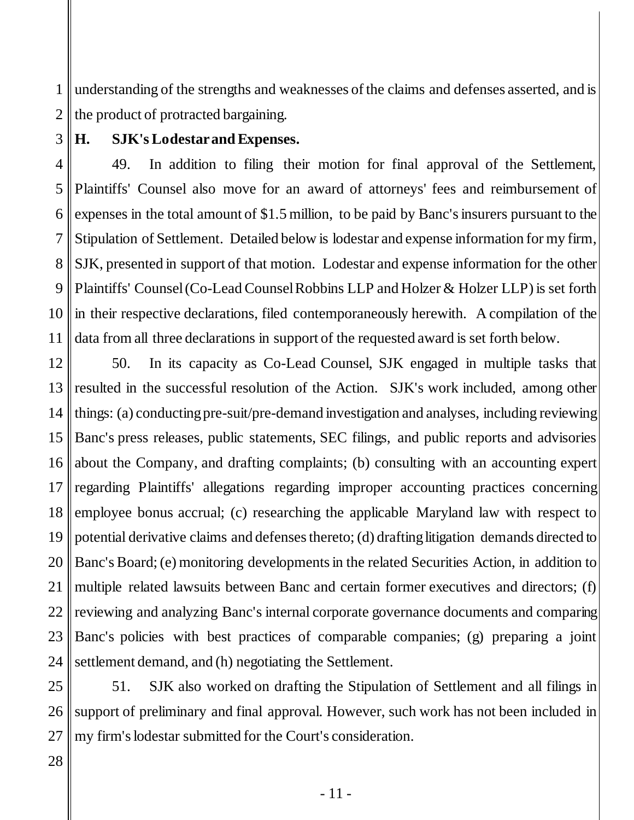1 2 understanding of the strengths and weaknesses of the claims and defenses asserted, and is the product of protracted bargaining.

3

#### **H. SJK's Lodestar and Expenses.**

4 5 6 7 8 9 10 11 49. In addition to filing their motion for final approval of the Settlement, Plaintiffs' Counsel also move for an award of attorneys' fees and reimbursement of expenses in the total amount of \$1.5 million, to be paid by Banc's insurers pursuant to the Stipulation of Settlement. Detailed below is lodestar and expense information for my firm, SJK, presented in support of that motion. Lodestar and expense information for the other Plaintiffs' Counsel (Co-Lead Counsel Robbins LLP and Holzer & Holzer LLP) is set forth in their respective declarations, filed contemporaneously herewith. A compilation of the data from all three declarations in support of the requested award is set forth below.

12 13 14 15 16 17 18 19 20 21 22 23 24 50. In its capacity as Co-Lead Counsel, SJK engaged in multiple tasks that resulted in the successful resolution of the Action. SJK's work included, among other things: (a) conducting pre-suit/pre-demand investigation and analyses, including reviewing Banc's press releases, public statements, SEC filings, and public reports and advisories about the Company, and drafting complaints; (b) consulting with an accounting expert regarding Plaintiffs' allegations regarding improper accounting practices concerning employee bonus accrual; (c) researching the applicable Maryland law with respect to potential derivative claims and defenses thereto; (d) drafting litigation demands directed to Banc's Board; (e) monitoring developments in the related Securities Action, in addition to multiple related lawsuits between Banc and certain former executives and directors; (f) reviewing and analyzing Banc's internal corporate governance documents and comparing Banc's policies with best practices of comparable companies; (g) preparing a joint settlement demand, and (h) negotiating the Settlement.

25 26 27 51. SJK also worked on drafting the Stipulation of Settlement and all filings in support of preliminary and final approval. However, such work has not been included in my firm's lodestar submitted for the Court's consideration.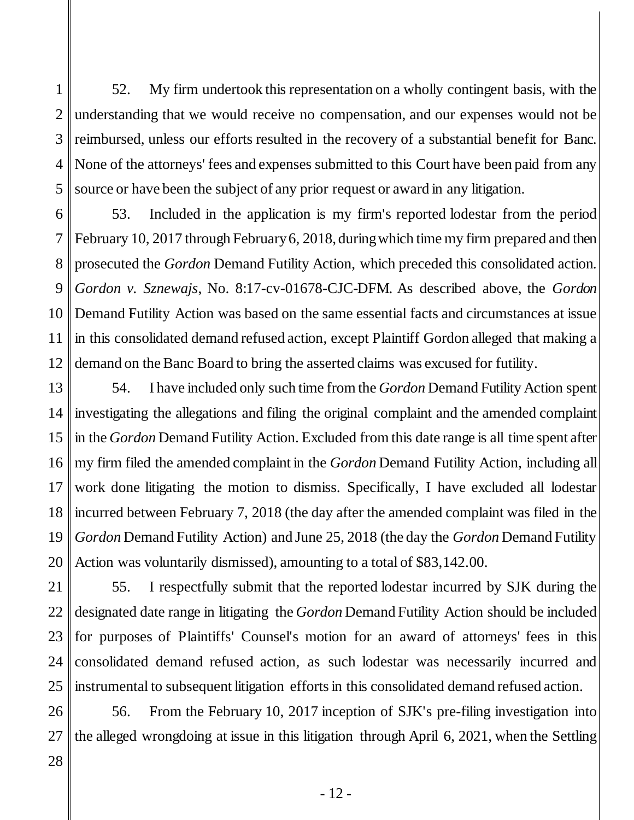1 2 3 4 5 52. My firm undertook this representation on a wholly contingent basis, with the understanding that we would receive no compensation, and our expenses would not be reimbursed, unless our efforts resulted in the recovery of a substantial benefit for Banc. None of the attorneys' fees and expenses submitted to this Court have been paid from any source or have been the subject of any prior request or award in any litigation.

6 7 8 9 10 11 12 53. Included in the application is my firm's reported lodestar from the period February 10, 2017 through February 6, 2018, during which time my firm prepared and then prosecuted the *Gordon* Demand Futility Action, which preceded this consolidated action. *Gordon v. Sznewajs*, No. 8:17-cv-01678-CJC-DFM. As described above, the *Gordon* Demand Futility Action was based on the same essential facts and circumstances at issue in this consolidated demand refused action, except Plaintiff Gordon alleged that making a demand on the Banc Board to bring the asserted claims was excused for futility.

13 14 15 16 17 18 19 20 54. I have included only such time from the *Gordon* Demand Futility Action spent investigating the allegations and filing the original complaint and the amended complaint in the *Gordon* Demand Futility Action. Excluded from this date range is all time spent after my firm filed the amended complaint in the *Gordon* Demand Futility Action, including all work done litigating the motion to dismiss. Specifically, I have excluded all lodestar incurred between February 7, 2018 (the day after the amended complaint was filed in the *Gordon* Demand Futility Action) and June 25, 2018 (the day the *Gordon* Demand Futility Action was voluntarily dismissed), amounting to a total of \$83,142.00.

21 22 23 24 25 55. I respectfully submit that the reported lodestar incurred by SJK during the designated date range in litigating the *Gordon* Demand Futility Action should be included for purposes of Plaintiffs' Counsel's motion for an award of attorneys' fees in this consolidated demand refused action, as such lodestar was necessarily incurred and instrumental to subsequent litigation efforts in this consolidated demand refused action.

26 27 56. From the February 10, 2017 inception of SJK's pre-filing investigation into the alleged wrongdoing at issue in this litigation through April 6, 2021, when the Settling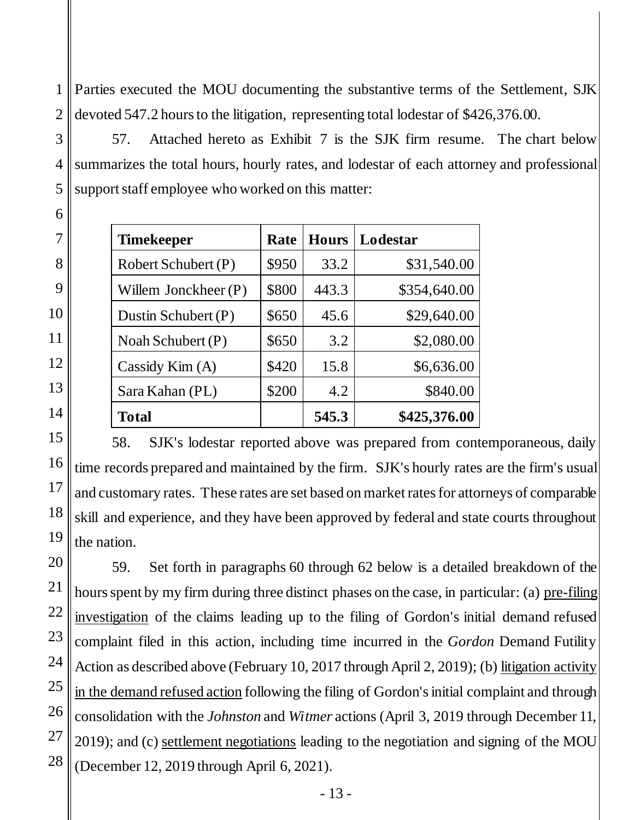Parties executed the MOU documenting the substantive terms of the Settlement, SJK devoted 547.2 hours to the litigation, representing total lodestar of \$426,376.00.

57. Attached hereto as Exhibit 7 is the SJK firm resume. The chart below summarizes the total hours, hourly rates, and lodestar of each attorney and professional support staff employee who worked on this matter:

| <b>Timekeeper</b>      | Rate  | <b>Hours</b> | Lodestar     |
|------------------------|-------|--------------|--------------|
| Robert Schubert (P)    | \$950 | 33.2         | \$31,540.00  |
| Willem Jonckheer $(P)$ | \$800 | 443.3        | \$354,640.00 |
| Dustin Schubert (P)    | \$650 | 45.6         | \$29,640.00  |
| Noah Schubert (P)      | \$650 | 3.2          | \$2,080.00   |
| Cassidy $Kim (A)$      | \$420 | 15.8         | \$6,636.00   |
| Sara Kahan (PL)        | \$200 | 4.2          | \$840.00     |
| Total                  |       | 545.3        | \$425,376.00 |

58. SJK's lodestar reported above was prepared from contemporaneous, daily time records prepared and maintained by the firm. SJK's hourly rates are the firm's usual and customary rates. These rates are set based on market rates for attorneys of comparable skill and experience, and they have been approved by federal and state courts throughout the nation.

59. Set forth in paragraphs 60 through 62 below is a detailed breakdown of the hours spent by my firm during three distinct phases on the case, in particular: (a) pre-filing investigation of the claims leading up to the filing of Gordon's initial demand refused complaint filed in this action, including time incurred in the *Gordon* Demand Futility Action as described above (February 10, 2017 through April 2, 2019); (b) litigation activity in the demand refused action following the filing of Gordon's initial complaint and through consolidation with the *Johnston* and *Witmer* actions (April 3, 2019 through December 11, 2019); and (c) settlement negotiations leading to the negotiation and signing of the MOU (December 12, 2019 through April 6, 2021).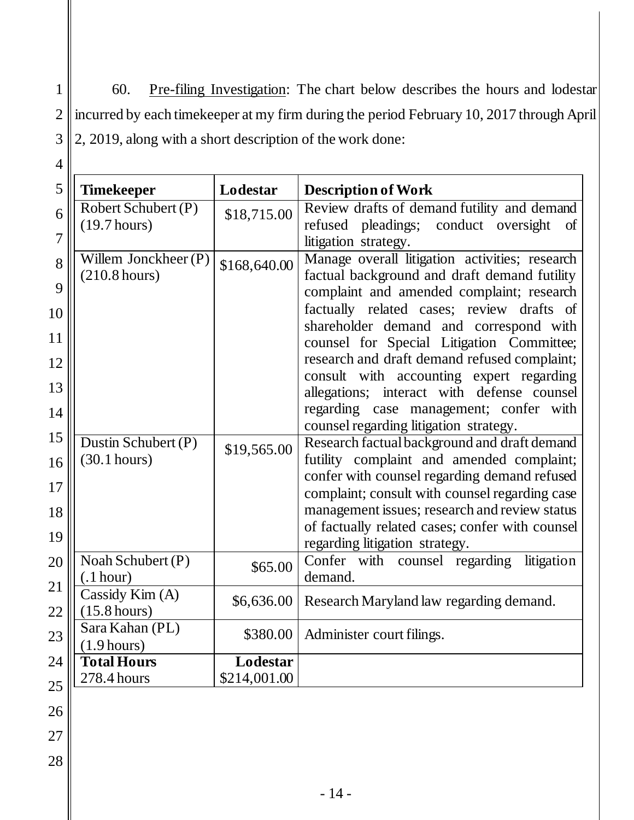1 2 3 2, 2019, along with a short description of the work done: 60. Pre-filing Investigation: The chart below describes the hours and lodestar  $\parallel$  incurred by each timekeeper at my firm during the period February 10, 2017 through April

| <b>Timekeeper</b>                               | Lodestar     | <b>Description of Work</b>                                                                                                                                                                                                                                                                                                                                                                                                                                                                                    |
|-------------------------------------------------|--------------|---------------------------------------------------------------------------------------------------------------------------------------------------------------------------------------------------------------------------------------------------------------------------------------------------------------------------------------------------------------------------------------------------------------------------------------------------------------------------------------------------------------|
| Robert Schubert (P)<br>(19.7 hours)             | \$18,715.00  | Review drafts of demand futility and demand<br>refused pleadings; conduct oversight<br>of<br>litigation strategy.                                                                                                                                                                                                                                                                                                                                                                                             |
| Willem Jonckheer (P)<br>$(210.8 \text{ hours})$ | \$168,640.00 | Manage overall litigation activities; research<br>factual background and draft demand futility<br>complaint and amended complaint; research<br>factually related cases; review drafts of<br>shareholder demand and correspond with<br>counsel for Special Litigation Committee;<br>research and draft demand refused complaint;<br>consult with accounting expert regarding<br>allegations; interact with defense counsel<br>regarding case management; confer with<br>counsel regarding litigation strategy. |
| Dustin Schubert $(P)$<br>(30.1 hours)           | \$19,565.00  | Research factual background and draft demand<br>futility complaint and amended complaint;<br>confer with counsel regarding demand refused<br>complaint; consult with counsel regarding case<br>management issues; research and review status<br>of factually related cases; confer with counsel<br>regarding litigation strategy.                                                                                                                                                                             |
| Noah Schubert (P)<br>(.1 hour)                  | \$65.00      | Confer with counsel regarding<br>litigation<br>demand.                                                                                                                                                                                                                                                                                                                                                                                                                                                        |
| Cassidy Kim (A)<br>$(15.8 \text{ hours})$       | \$6,636.00   | Research Maryland law regarding demand.                                                                                                                                                                                                                                                                                                                                                                                                                                                                       |
| Sara Kahan (PL)<br>$(1.9 \text{ hours})$        | \$380.00     | Administer court filings.                                                                                                                                                                                                                                                                                                                                                                                                                                                                                     |
| <b>Total Hours</b>                              | Lodestar     |                                                                                                                                                                                                                                                                                                                                                                                                                                                                                                               |
| 278.4 hours                                     | \$214,001.00 |                                                                                                                                                                                                                                                                                                                                                                                                                                                                                                               |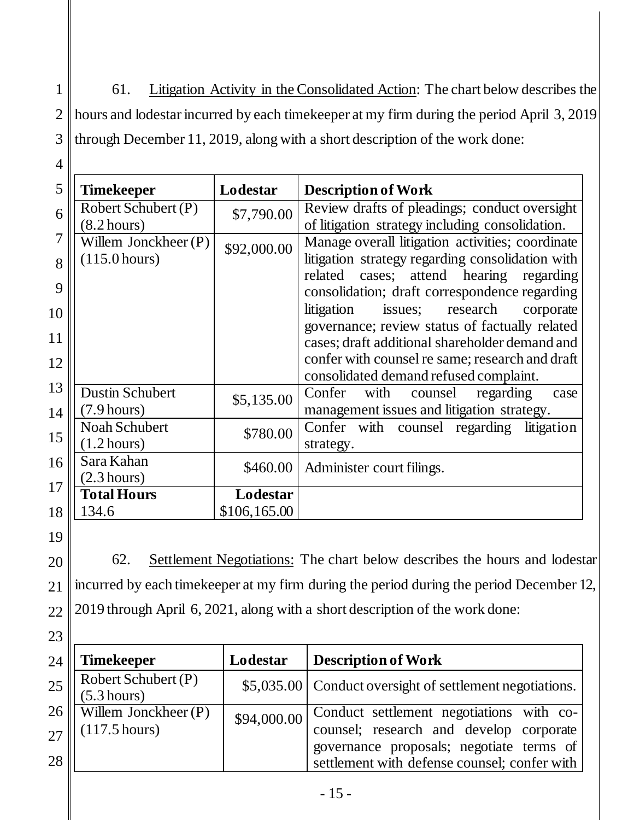1 2 3 61. Litigation Activity in the Consolidated Action: The chart below describes the hours and lodestar incurred by each timekeeper at my firm during the period April 3, 2019 through December 11, 2019, along with a short description of the work done:

| <b>Timekeeper</b>                               | Lodestar     | <b>Description of Work</b>                                                                                                                                                                                                                                                                                                                                                                                                                          |
|-------------------------------------------------|--------------|-----------------------------------------------------------------------------------------------------------------------------------------------------------------------------------------------------------------------------------------------------------------------------------------------------------------------------------------------------------------------------------------------------------------------------------------------------|
| Robert Schubert (P)<br>$(8.2 \text{ hours})$    | \$7,790.00   | Review drafts of pleadings; conduct oversight<br>of litigation strategy including consolidation.                                                                                                                                                                                                                                                                                                                                                    |
| Willem Jonckheer (P)<br>$(115.0 \text{ hours})$ | \$92,000.00  | Manage overall litigation activities; coordinate<br>litigation strategy regarding consolidation with<br>related cases; attend hearing regarding<br>consolidation; draft correspondence regarding<br>research<br>litigation<br>issues;<br>corporate<br>governance; review status of factually related<br>cases; draft additional shareholder demand and<br>confer with counsel re same; research and draft<br>consolidated demand refused complaint. |
| <b>Dustin Schubert</b><br>$(7.9 \text{ hours})$ | \$5,135.00   | Confer<br>with<br>regarding<br>counsel<br>case<br>management issues and litigation strategy.                                                                                                                                                                                                                                                                                                                                                        |
| Noah Schubert<br>$(1.2 \text{ hours})$          | \$780.00     | Confer with counsel regarding litigation<br>strategy.                                                                                                                                                                                                                                                                                                                                                                                               |
| Sara Kahan<br>$(2.3 \text{ hours})$             | \$460.00     | Administer court filings.                                                                                                                                                                                                                                                                                                                                                                                                                           |
| <b>Total Hours</b>                              | Lodestar     |                                                                                                                                                                                                                                                                                                                                                                                                                                                     |
| 134.6                                           | \$106,165.00 |                                                                                                                                                                                                                                                                                                                                                                                                                                                     |
|                                                 |              |                                                                                                                                                                                                                                                                                                                                                                                                                                                     |

19

20

21

22

 $\overline{4}$ 

62. Settlement Negotiations: The chart below describes the hours and lodestar incurred by each timekeeper at my firm during the period during the period December 12, 2019 through April 6, 2021, along with a short description of the work done:

| 23                  |                                                 |          |                                                                                                                                                                                             |
|---------------------|-------------------------------------------------|----------|---------------------------------------------------------------------------------------------------------------------------------------------------------------------------------------------|
| 24                  | <b>Timekeeper</b>                               | Lodestar | Description of Work                                                                                                                                                                         |
| 25                  | Robert Schubert (P)<br>(5.3 hours)              |          | \$5,035.00 Conduct oversight of settlement negotiations.                                                                                                                                    |
| $26$   <br>27<br>28 | Willem Jonckheer (P)<br>$(117.5 \text{ hours})$ |          | \$94,000.00 Conduct settlement negotiations with co-<br>counsel; research and develop corporate<br>governance proposals; negotiate terms of<br>settlement with defense counsel; confer with |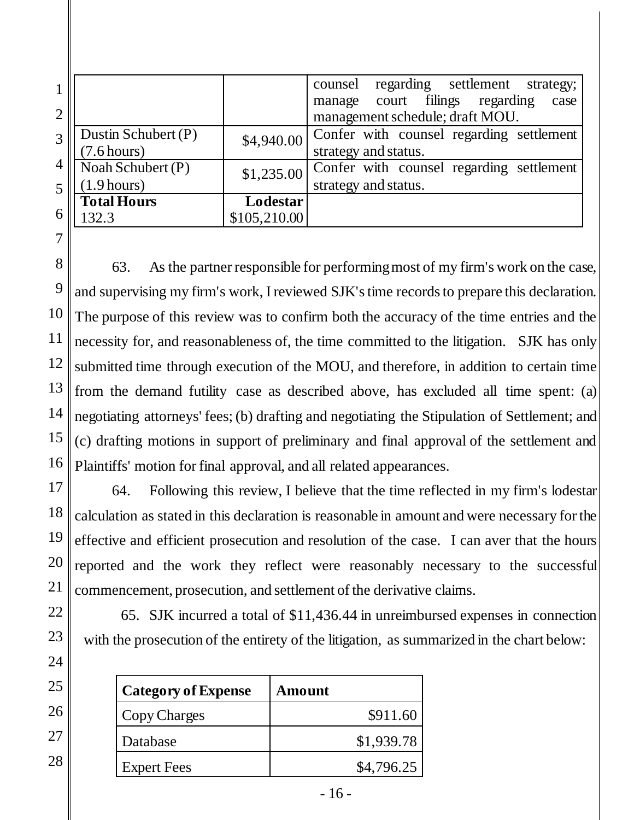|                |                                               |              | regarding settlement<br>counsel<br>strategy; |
|----------------|-----------------------------------------------|--------------|----------------------------------------------|
|                |                                               |              | manage court filings<br>regarding<br>case    |
| $\overline{2}$ |                                               |              | management schedule; draft MOU.              |
| $\overline{3}$ | Dustin Schubert (P)                           | \$4,940.00   | Confer with counsel regarding settlement     |
|                | $(7.6 \text{ hours})$                         |              | strategy and status.                         |
|                | $4 \sqrt{\sqrt{N \cdot N}}$ Noah Schubert (P) | \$1,235.00   | Confer with counsel regarding settlement     |
| 5              | $(1.9 \text{ hours})$                         |              | strategy and status.                         |
|                | <b>Total Hours</b>                            | Lodestar     |                                              |
| 6.             | 132.3                                         | \$105,210.00 |                                              |
|                |                                               |              |                                              |

7 8 9

17

18

19

20

21

22

23

24

25

26

27

28

10 11 12 13 14 15 16 63. As the partner responsible for performing most of my firm's work on the case, and supervising my firm's work, I reviewed SJK's time records to prepare this declaration. The purpose of this review was to confirm both the accuracy of the time entries and the necessity for, and reasonableness of, the time committed to the litigation. SJK has only submitted time through execution of the MOU, and therefore, in addition to certain time from the demand futility case as described above, has excluded all time spent: (a) negotiating attorneys' fees; (b) drafting and negotiating the Stipulation of Settlement; and (c) drafting motions in support of preliminary and final approval of the settlement and Plaintiffs' motion for final approval, and all related appearances.

64. Following this review, I believe that the time reflected in my firm's lodestar calculation as stated in this declaration is reasonable in amount and were necessary for the effective and efficient prosecution and resolution of the case. I can aver that the hours reported and the work they reflect were reasonably necessary to the successful commencement, prosecution, and settlement of the derivative claims.

65. SJK incurred a total of \$11,436.44 in unreimbursed expenses in connection with the prosecution of the entirety of the litigation, as summarized in the chart below:

| <b>Category of Expense</b> | Amount     |
|----------------------------|------------|
| Copy Charges               | \$911.60   |
| Database                   | \$1,939.78 |
| <b>Expert Fees</b>         | \$4,796.25 |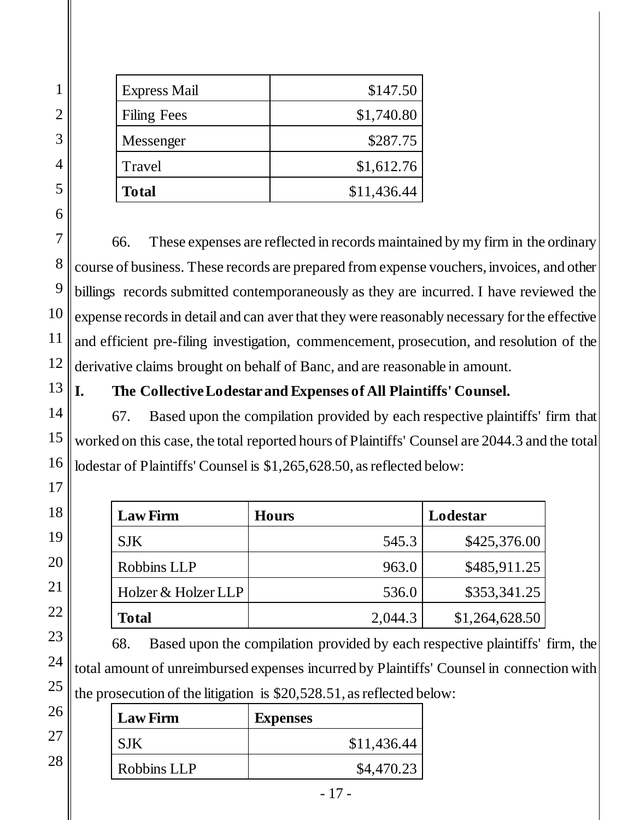| <b>Express Mail</b> | \$147.50    |
|---------------------|-------------|
| <b>Filing Fees</b>  | \$1,740.80  |
| Messenger           | \$287.75    |
| Travel              | \$1,612.76  |
| <b>Total</b>        | \$11,436.44 |

66. These expenses are reflected in records maintained by my firm in the ordinary course of business. These records are prepared from expense vouchers, invoices, and other billings records submitted contemporaneously as they are incurred. I have reviewed the expense records in detail and can aver that they were reasonably necessary for the effective and efficient pre-filing investigation, commencement, prosecution, and resolution of the derivative claims brought on behalf of Banc, and are reasonable in amount.

**I. The Collective Lodestar and Expenses of All Plaintiffs' Counsel.**

67. Based upon the compilation provided by each respective plaintiffs' firm that worked on this case, the total reported hours of Plaintiffs' Counsel are 2044.3 and the total lodestar of Plaintiffs' Counsel is \$1,265,628.50, as reflected below:

| <b>Law Firm</b>     | <b>Hours</b> | Lodestar       |
|---------------------|--------------|----------------|
| <b>SJK</b>          | 545.3        | \$425,376.00   |
| Robbins LLP         | 963.0        | \$485,911.25   |
| Holzer & Holzer LLP | 536.0        | \$353,341.25   |
| <b>Total</b>        | 2,044.3      | \$1,264,628.50 |

68. Based upon the compilation provided by each respective plaintiffs' firm, the total amount of unreimbursed expenses incurred by Plaintiffs' Counsel in connection with the prosecution of the litigation is \$20,528.51, as reflected below:

| <b>Law Firm</b> | <b>Expenses</b> |
|-----------------|-----------------|
| <b>SJK</b>      | \$11,436.44     |
| Robbins LLP     | \$4,470.23      |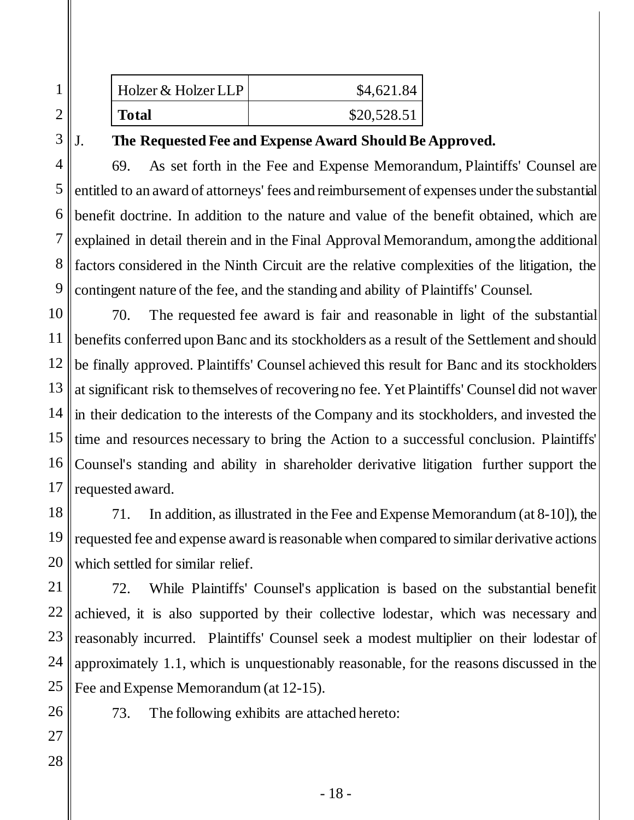| Holzer & Holzer LLP |  |
|---------------------|--|
| l`otal              |  |

3

1

2

# J. **The Requested Fee and Expense Award Should Be Approved.**

4 5 6 7 8 9 69. As set forth in the Fee and Expense Memorandum, Plaintiffs' Counsel are entitled to an award of attorneys' fees and reimbursement of expenses under the substantial benefit doctrine. In addition to the nature and value of the benefit obtained, which are explained in detail therein and in the Final Approval Memorandum, among the additional factors considered in the Ninth Circuit are the relative complexities of the litigation, the contingent nature of the fee, and the standing and ability of Plaintiffs' Counsel.

 $$4,621.84$ 

**Total** \$20,528.51

10 11 12 13 14 15 16 17 70. The requested fee award is fair and reasonable in light of the substantial benefits conferred upon Banc and its stockholders as a result of the Settlement and should be finally approved. Plaintiffs' Counsel achieved this result for Banc and its stockholders at significant risk to themselves of recovering no fee. Yet Plaintiffs' Counsel did not waver in their dedication to the interests of the Company and its stockholders, and invested the time and resources necessary to bring the Action to a successful conclusion. Plaintiffs' Counsel's standing and ability in shareholder derivative litigation further support the requested award.

18 19 20 71. In addition, as illustrated in the Fee and Expense Memorandum (at 8-10]), the requested fee and expense award is reasonable when compared to similar derivative actions which settled for similar relief.

21 22 23 24 72. While Plaintiffs' Counsel's application is based on the substantial benefit achieved, it is also supported by their collective lodestar, which was necessary and reasonably incurred. Plaintiffs' Counsel seek a modest multiplier on their lodestar of approximately 1.1, which is unquestionably reasonable, for the reasons discussed in the Fee and Expense Memorandum (at 12-15).

73. The following exhibits are attached hereto: